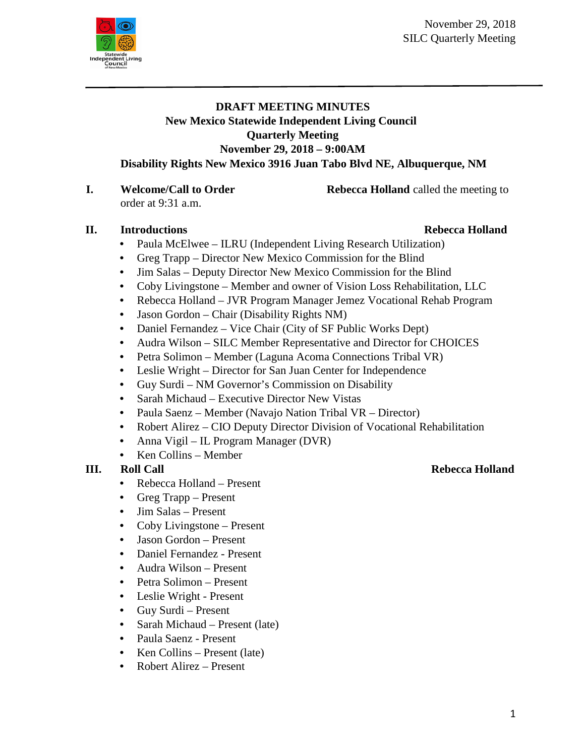

## **DRAFT MEETING MINUTES New Mexico Statewide Independent Living Council Quarterly Meeting November 29, 2018 – 9:00AM Disability Rights New Mexico 3916 Juan Tabo Blvd NE, Albuquerque, NM**

**I. Welcome/Call to Order Rebecca Holland** called the meeting to order at 9:31 a.m.

## **II. Introductions Rebecca Holland**

- Paula McElwee ILRU (Independent Living Research Utilization)
- Greg Trapp Director New Mexico Commission for the Blind
- Jim Salas Deputy Director New Mexico Commission for the Blind
- Coby Livingstone Member and owner of Vision Loss Rehabilitation, LLC
- Rebecca Holland JVR Program Manager Jemez Vocational Rehab Program
- Jason Gordon Chair (Disability Rights NM)
- Daniel Fernandez Vice Chair (City of SF Public Works Dept)
- Audra Wilson SILC Member Representative and Director for CHOICES
- Petra Solimon Member (Laguna Acoma Connections Tribal VR)
- Leslie Wright Director for San Juan Center for Independence
- Guy Surdi NM Governor's Commission on Disability
- Sarah Michaud Executive Director New Vistas
- Paula Saenz Member (Navajo Nation Tribal VR Director)
- Robert Alirez CIO Deputy Director Division of Vocational Rehabilitation
- Anna Vigil IL Program Manager (DVR)
- Ken Collins Member

- Rebecca Holland Present
- Greg Trapp Present
- Jim Salas Present
- Coby Livingstone Present
- Jason Gordon Present
- Daniel Fernandez Present
- Audra Wilson Present
- Petra Solimon Present
- Leslie Wright Present
- Guy Surdi Present
- Sarah Michaud Present (late)
- Paula Saenz Present
- Ken Collins Present (late)
- Robert Alirez Present

## **III. Roll Call Rebecca Holland**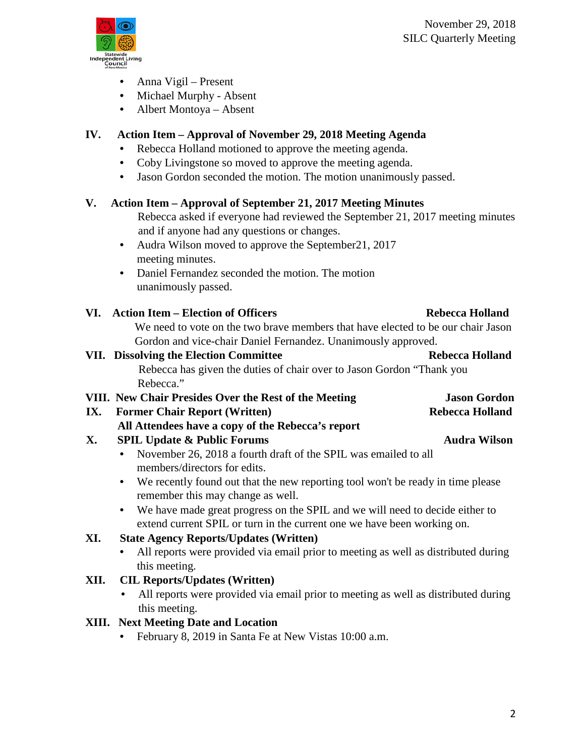

- Anna Vigil Present
- Michael Murphy Absent
- Albert Montoya Absent

# **IV. Action Item – Approval of November 29, 2018 Meeting Agenda**

- Rebecca Holland motioned to approve the meeting agenda.
- Coby Livingstone so moved to approve the meeting agenda.
- Jason Gordon seconded the motion. The motion unanimously passed.

## **V. Action Item – Approval of September 21, 2017 Meeting Minutes**

- Rebecca asked if everyone had reviewed the September 21, 2017 meeting minutes and if anyone had any questions or changes.
- Audra Wilson moved to approve the September 21, 2017 meeting minutes.
- Daniel Fernandez seconded the motion. The motion unanimously passed.

# VI. Action Item – Election of Officers Rebecca Holland

We need to vote on the two brave members that have elected to be our chair Jason Gordon and vice-chair Daniel Fernandez. Unanimously approved.

### **VII. Dissolving the Election Committee Rebecca Holland** Rebecca has given the duties of chair over to Jason Gordon "Thank you Rebecca." **VIII. New Chair Presides Over the Rest of the Meeting Jason Gordon**

**IX.** Former Chair Report (Written) Rebecca Holland  **All Attendees have a copy of the Rebecca's report**

# **X.** SPIL Update & Public Forums **Audra Wilson**

- November 26, 2018 a fourth draft of the SPIL was emailed to all members/directors for edits.
- We recently found out that the new reporting tool won't be ready in time please remember this may change as well.
- We have made great progress on the SPIL and we will need to decide either to extend current SPIL or turn in the current one we have been working on.

# **XI. State Agency Reports/Updates (Written)**

• All reports were provided via email prior to meeting as well as distributed during this meeting.

# **XII. CIL Reports/Updates (Written)**

• All reports were provided via email prior to meeting as well as distributed during this meeting.

# **XIII. Next Meeting Date and Location**

• February 8, 2019 in Santa Fe at New Vistas 10:00 a.m.